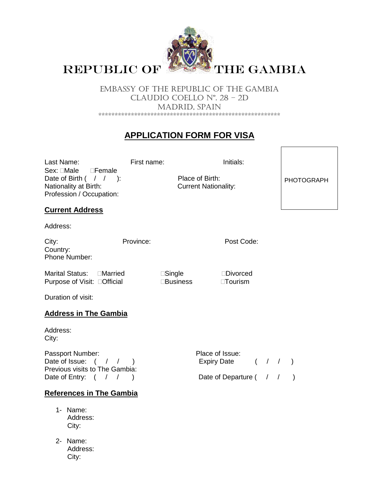

EMBASSY OF THE REPUBLIC OF THE GAMBIA CLAUDIO COELLO Nº. 28 – 2D MADRID, SPAIN \*\*\*\*\*\*\*\*\*\*\*\*\*\*\*\*\*\*\*\*\*\*\*\*\*\*\*\*\*\*\*\*\*\*\*\*\*\*\*\*\*\*\*\*\*\*\*\*\*\*\*\*\*\*\*\*

# **APPLICATION FORM FOR VISA**

Last Name: First name: Initials: Sex: Male Female Date of Birth ( / / ): Place of Birth: Nationality at Birth: Current Nationality: Profession / Occupation:

PHOTOGRAPH

## **Current Address**

Address:

City: Province: Province: Post Code: Country: Phone Number:

Marital Status: Married Single Divorced Purpose of Visit: Official Business Tourism

Duration of visit:

## **Address in The Gambia**

Address: City:

Passport Number: Passport Number: Date of Issue: ( / / ) Expiry Date ( / / ) Previous visits to The Gambia: Date of Entry:  $( / / )$  Date of Departure  $( / / )$ 

# **References in The Gambia**

- 1- Name: Address: City:
- 2- Name: Address: City: